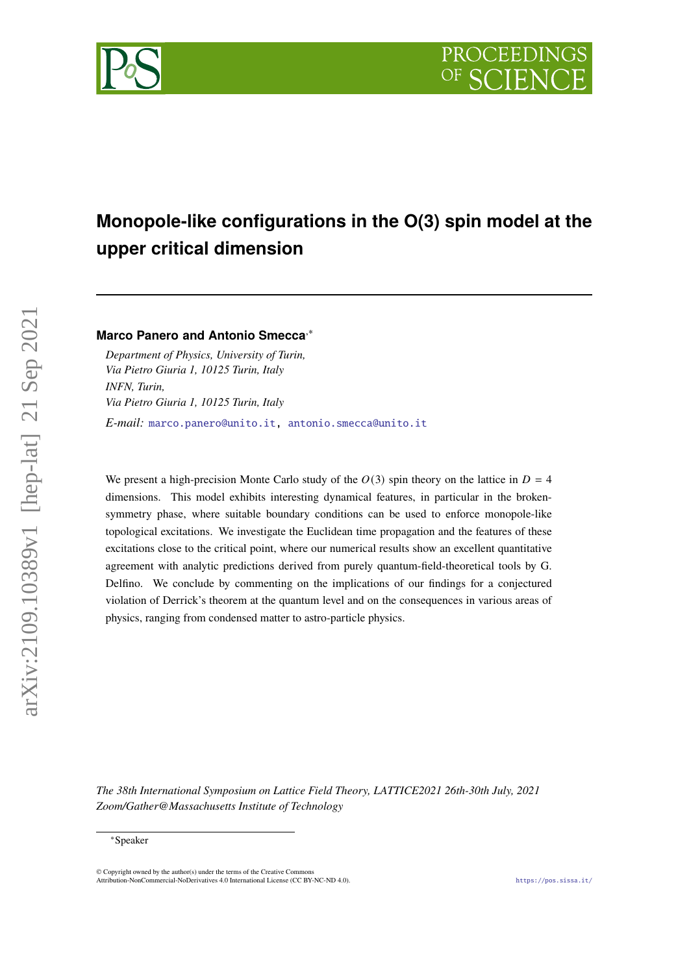

# **Monopole-like configurations in the O(3) spin model at the upper critical dimension**

# **Marco Panero and Antonio Smecca**,<sup>∗</sup>

*Department of Physics, University of Turin, Via Pietro Giuria 1, 10125 Turin, Italy INFN, Turin, Via Pietro Giuria 1, 10125 Turin, Italy E-mail:* [marco.panero@unito.it,](mailto:marco.panero@unito.it) [antonio.smecca@unito.it](mailto:antonio.smecca@unito.it)

We present a high-precision Monte Carlo study of the  $O(3)$  spin theory on the lattice in  $D = 4$ dimensions. This model exhibits interesting dynamical features, in particular in the brokensymmetry phase, where suitable boundary conditions can be used to enforce monopole-like topological excitations. We investigate the Euclidean time propagation and the features of these excitations close to the critical point, where our numerical results show an excellent quantitative agreement with analytic predictions derived from purely quantum-field-theoretical tools by G. Delfino. We conclude by commenting on the implications of our findings for a conjectured violation of Derrick's theorem at the quantum level and on the consequences in various areas of physics, ranging from condensed matter to astro-particle physics.

*The 38th International Symposium on Lattice Field Theory, LATTICE2021 26th-30th July, 2021 Zoom/Gather@Massachusetts Institute of Technology*

<sup>∗</sup>Speaker

 $\odot$  Copyright owned by the author(s) under the terms of the Creative Common Attribution-NonCommercial-NoDerivatives 4.0 International License (CC BY-NC-ND 4.0). <https://pos.sissa.it/>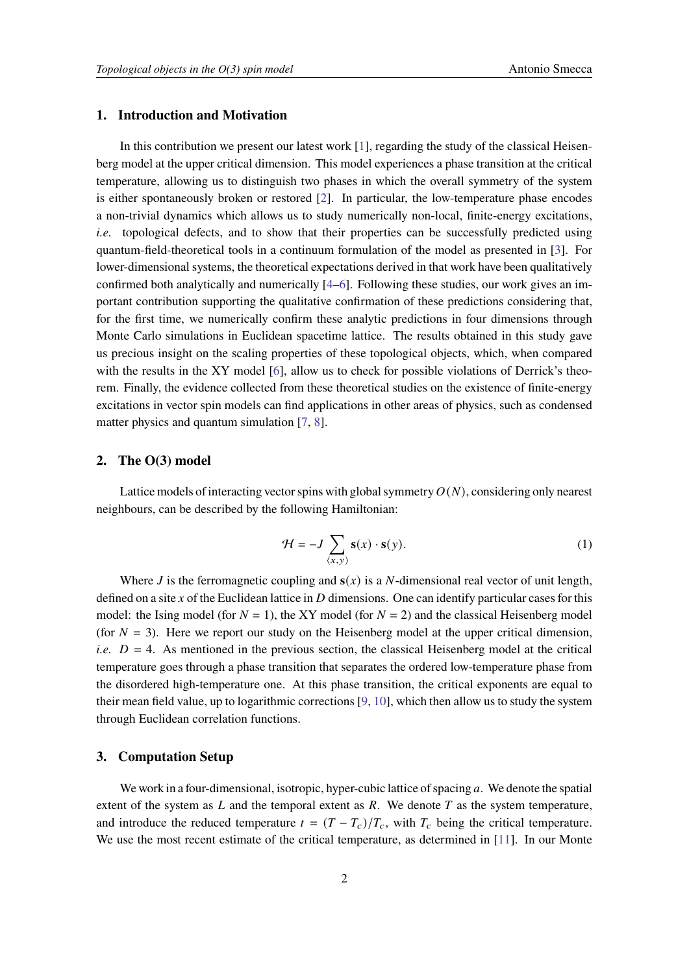## **1. Introduction and Motivation**

In this contribution we present our latest work  $[1]$ , regarding the study of the classical Heisenberg model at the upper critical dimension. This model experiences a phase transition at the critical temperature, allowing us to distinguish two phases in which the overall symmetry of the system is either spontaneously broken or restored [\[2\]](#page-6-1). In particular, the low-temperature phase encodes a non-trivial dynamics which allows us to study numerically non-local, finite-energy excitations, *i.e.* topological defects, and to show that their properties can be successfully predicted using quantum-field-theoretical tools in a continuum formulation of the model as presented in [\[3\]](#page-6-2). For lower-dimensional systems, the theoretical expectations derived in that work have been qualitatively confirmed both analytically and numerically [\[4](#page-6-3)[–6\]](#page-6-4). Following these studies, our work gives an important contribution supporting the qualitative confirmation of these predictions considering that, for the first time, we numerically confirm these analytic predictions in four dimensions through Monte Carlo simulations in Euclidean spacetime lattice. The results obtained in this study gave us precious insight on the scaling properties of these topological objects, which, when compared with the results in the XY model [\[6\]](#page-6-4), allow us to check for possible violations of Derrick's theorem. Finally, the evidence collected from these theoretical studies on the existence of finite-energy excitations in vector spin models can find applications in other areas of physics, such as condensed matter physics and quantum simulation [\[7,](#page-6-5) [8\]](#page-6-6).

#### **2. The O(3) model**

Lattice models of interacting vector spins with global symmetry  $O(N)$ , considering only nearest neighbours, can be described by the following Hamiltonian:

$$
\mathcal{H} = -J \sum_{\langle x, y \rangle} \mathbf{s}(x) \cdot \mathbf{s}(y). \tag{1}
$$

Where *J* is the ferromagnetic coupling and  $s(x)$  is a *N*-dimensional real vector of unit length, defined on a site  $x$  of the Euclidean lattice in  $D$  dimensions. One can identify particular cases for this model: the Ising model (for  $N = 1$ ), the XY model (for  $N = 2$ ) and the classical Heisenberg model (for  $N = 3$ ). Here we report our study on the Heisenberg model at the upper critical dimension, *i.e.*  $D = 4$ . As mentioned in the previous section, the classical Heisenberg model at the critical temperature goes through a phase transition that separates the ordered low-temperature phase from the disordered high-temperature one. At this phase transition, the critical exponents are equal to their mean field value, up to logarithmic corrections [\[9,](#page-6-7) [10\]](#page-6-8), which then allow us to study the system through Euclidean correlation functions.

### **3. Computation Setup**

We work in a four-dimensional, isotropic, hyper-cubic lattice of spacing  $a$ . We denote the spatial extent of the system as  $L$  and the temporal extent as  $R$ . We denote  $T$  as the system temperature, and introduce the reduced temperature  $t = (T - T_c)/T_c$ , with  $T_c$  being the critical temperature. We use the most recent estimate of the critical temperature, as determined in [\[11\]](#page-6-9). In our Monte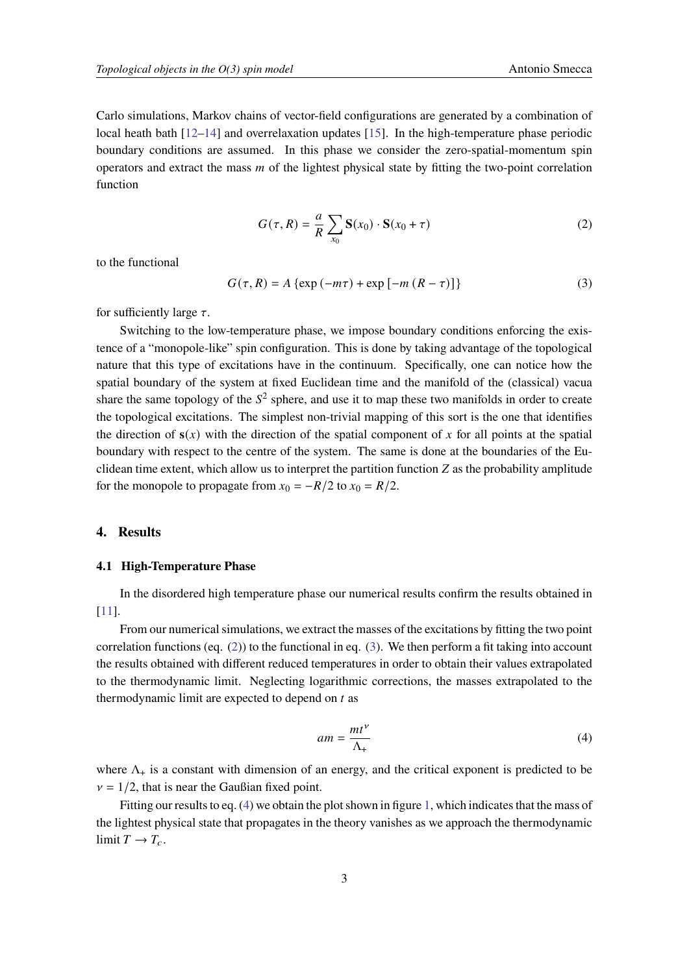Carlo simulations, Markov chains of vector-field configurations are generated by a combination of local heath bath [\[12](#page-6-10)[–14\]](#page-7-0) and overrelaxation updates [\[15\]](#page-7-1). In the high-temperature phase periodic boundary conditions are assumed. In this phase we consider the zero-spatial-momentum spin operators and extract the mass  *of the lightest physical state by fitting the two-point correlation* function

<span id="page-2-0"></span>
$$
G(\tau, R) = \frac{a}{R} \sum_{x_0} \mathbf{S}(x_0) \cdot \mathbf{S}(x_0 + \tau)
$$
 (2)

to the functional

<span id="page-2-1"></span>
$$
G(\tau, R) = A \{ \exp(-m\tau) + \exp[-m (R - \tau)] \}
$$
 (3)

for sufficiently large  $\tau$ .

Switching to the low-temperature phase, we impose boundary conditions enforcing the existence of a "monopole-like" spin configuration. This is done by taking advantage of the topological nature that this type of excitations have in the continuum. Specifically, one can notice how the spatial boundary of the system at fixed Euclidean time and the manifold of the (classical) vacua share the same topology of the  $S^2$  sphere, and use it to map these two manifolds in order to create the topological excitations. The simplest non-trivial mapping of this sort is the one that identifies the direction of  $s(x)$  with the direction of the spatial component of x for all points at the spatial boundary with respect to the centre of the system. The same is done at the boundaries of the Euclidean time extent, which allow us to interpret the partition function  $Z$  as the probability amplitude for the monopole to propagate from  $x_0 = -R/2$  to  $x_0 = R/2$ .

#### **4. Results**

#### **4.1 High-Temperature Phase**

In the disordered high temperature phase our numerical results confirm the results obtained in [\[11\]](#page-6-9).

From our numerical simulations, we extract the masses of the excitations by fitting the two point correlation functions (eq.  $(2)$ ) to the functional in eq.  $(3)$ . We then perform a fit taking into account the results obtained with different reduced temperatures in order to obtain their values extrapolated to the thermodynamic limit. Neglecting logarithmic corrections, the masses extrapolated to the thermodynamic limit are expected to depend on  $t$  as

<span id="page-2-2"></span>
$$
am = \frac{mt^{\nu}}{\Lambda_{+}}\tag{4}
$$

where  $\Lambda_{+}$  is a constant with dimension of an energy, and the critical exponent is predicted to be  $v = 1/2$ , that is near the Gaußian fixed point.

Fitting our results to eq. [\(4\)](#page-2-2) we obtain the plot shown in figure [1,](#page-3-0) which indicates that the mass of the lightest physical state that propagates in the theory vanishes as we approach the thermodynamic limit  $T \to T_c$ .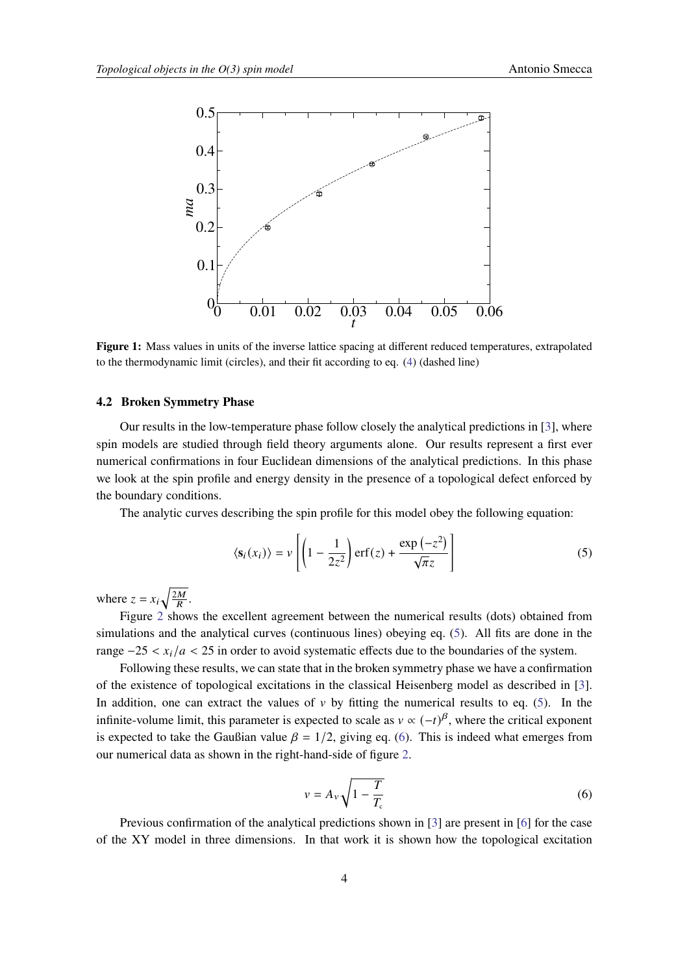<span id="page-3-0"></span>

**Figure 1:** Mass values in units of the inverse lattice spacing at different reduced temperatures, extrapolated to the thermodynamic limit (circles), and their fit according to eq. [\(4\)](#page-2-2) (dashed line)

### **4.2 Broken Symmetry Phase**

Our results in the low-temperature phase follow closely the analytical predictions in [\[3\]](#page-6-2), where spin models are studied through field theory arguments alone. Our results represent a first ever numerical confirmations in four Euclidean dimensions of the analytical predictions. In this phase we look at the spin profile and energy density in the presence of a topological defect enforced by the boundary conditions.

The analytic curves describing the spin profile for this model obey the following equation:

<span id="page-3-1"></span>
$$
\langle \mathbf{s}_i(x_i) \rangle = v \left[ \left( 1 - \frac{1}{2z^2} \right) \text{erf}(z) + \frac{\exp(-z^2)}{\sqrt{\pi}z} \right] \tag{5}
$$

where  $z = x_i \sqrt{\frac{2M}{R}}$ .

Figure [2](#page-4-0) shows the excellent agreement between the numerical results (dots) obtained from simulations and the analytical curves (continuous lines) obeying eq. [\(5\)](#page-3-1). All fits are done in the range  $-25 < x_i/a < 25$  in order to avoid systematic effects due to the boundaries of the system.

Following these results, we can state that in the broken symmetry phase we have a confirmation of the existence of topological excitations in the classical Heisenberg model as described in [\[3\]](#page-6-2). In addition, one can extract the values of  $\nu$  by fitting the numerical results to eq. [\(5\)](#page-3-1). In the infinite-volume limit, this parameter is expected to scale as  $v \propto (-t)^\beta$ , where the critical exponent is expected to take the Gaußian value  $\beta = 1/2$ , giving eq. [\(6\)](#page-3-2). This is indeed what emerges from our numerical data as shown in the right-hand-side of figure [2.](#page-4-0)

<span id="page-3-2"></span>
$$
v = A_v \sqrt{1 - \frac{T}{T_c}}
$$
\n<sup>(6)</sup>

Previous confirmation of the analytical predictions shown in [\[3\]](#page-6-2) are present in [\[6\]](#page-6-4) for the case of the XY model in three dimensions. In that work it is shown how the topological excitation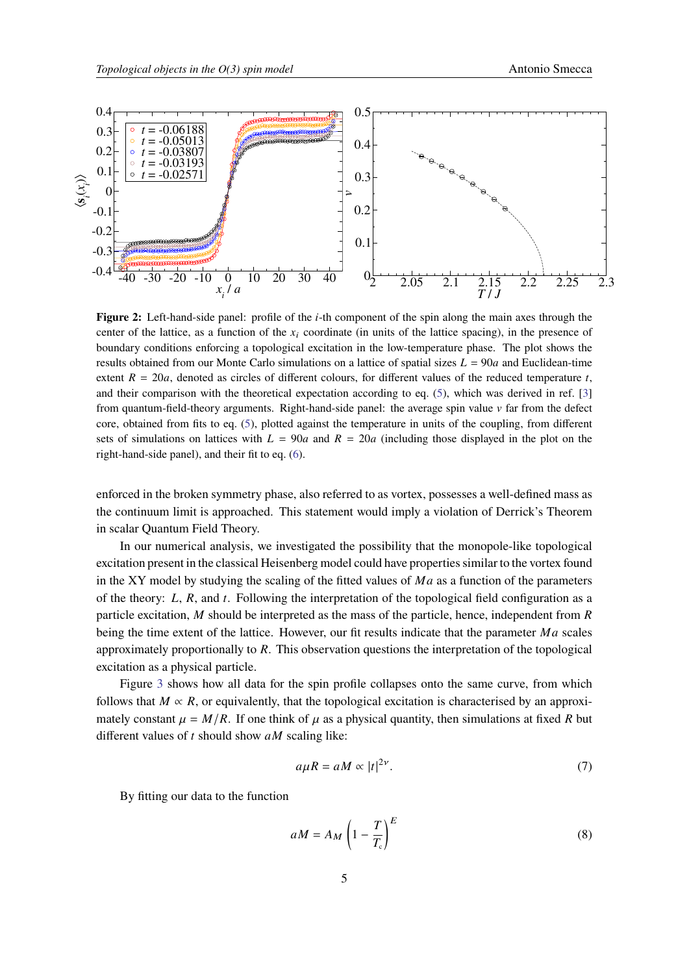<span id="page-4-0"></span>

**Figure 2:** Left-hand-side panel: profile of the *i*-th component of the spin along the main axes through the center of the lattice, as a function of the  $x_i$  coordinate (in units of the lattice spacing), in the presence of boundary conditions enforcing a topological excitation in the low-temperature phase. The plot shows the results obtained from our Monte Carlo simulations on a lattice of spatial sizes  $L = 90a$  and Euclidean-time extent  $R = 20a$ , denoted as circles of different colours, for different values of the reduced temperature t, and their comparison with the theoretical expectation according to eq. [\(5\)](#page-3-1), which was derived in ref. [\[3\]](#page-6-2) from quantum-field-theory arguments. Right-hand-side panel: the average spin value  $\nu$  far from the defect core, obtained from fits to eq. [\(5\)](#page-3-1), plotted against the temperature in units of the coupling, from different sets of simulations on lattices with  $L = 90a$  and  $R = 20a$  (including those displayed in the plot on the right-hand-side panel), and their fit to eq. [\(6\)](#page-3-2).

enforced in the broken symmetry phase, also referred to as vortex, possesses a well-defined mass as the continuum limit is approached. This statement would imply a violation of Derrick's Theorem in scalar Quantum Field Theory.

In our numerical analysis, we investigated the possibility that the monopole-like topological excitation present in the classical Heisenberg model could have properties similar to the vortex found in the XY model by studying the scaling of the fitted values of  $Ma$  as a function of the parameters of the theory:  $L$ ,  $R$ , and  $t$ . Following the interpretation of the topological field configuration as a particle excitation,  $M$  should be interpreted as the mass of the particle, hence, independent from  $R$ being the time extent of the lattice. However, our fit results indicate that the parameter  $Ma$  scales approximately proportionally to  $R$ . This observation questions the interpretation of the topological excitation as a physical particle.

Figure [3](#page-5-0) shows how all data for the spin profile collapses onto the same curve, from which follows that  $M \propto R$ , or equivalently, that the topological excitation is characterised by an approximately constant  $\mu = M/R$ . If one think of  $\mu$  as a physical quantity, then simulations at fixed R but different values of  $t$  should show  $aM$  scaling like:

$$
a\mu R = aM \propto |t|^{2\nu}.\tag{7}
$$

By fitting our data to the function

<span id="page-4-1"></span>
$$
aM = A_M \left(1 - \frac{T}{T_c}\right)^E \tag{8}
$$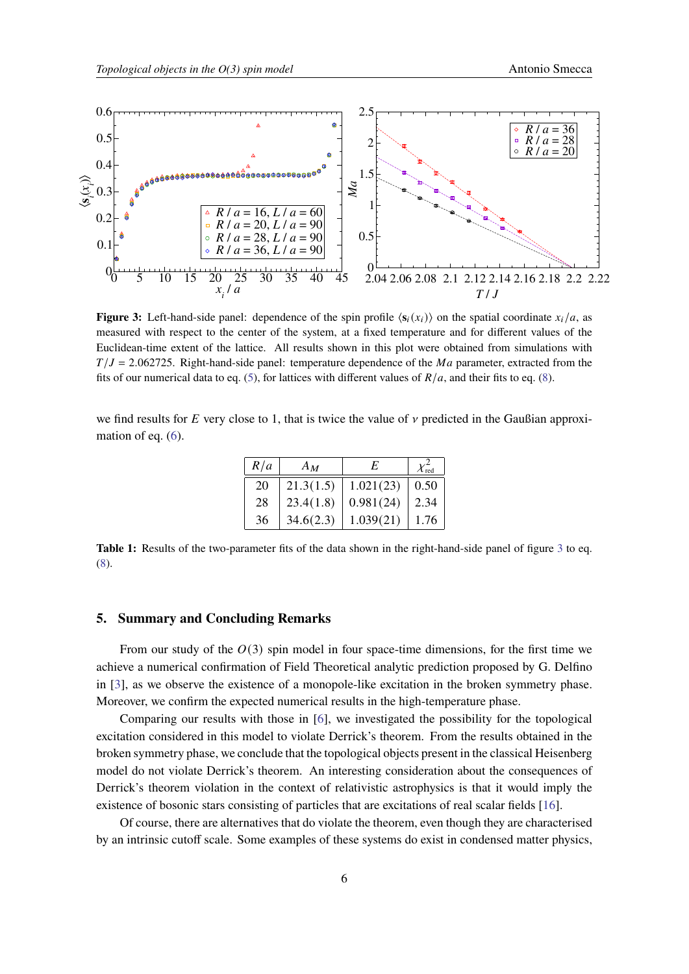<span id="page-5-0"></span>

**Figure 3:** Left-hand-side panel: dependence of the spin profile  $\langle s_i(x_i) \rangle$  on the spatial coordinate  $x_i/a$ , as measured with respect to the center of the system, at a fixed temperature and for different values of the Euclidean-time extent of the lattice. All results shown in this plot were obtained from simulations with  $T/J = 2.062725$ . Right-hand-side panel: temperature dependence of the Ma parameter, extracted from the fits of our numerical data to eq. [\(5\)](#page-3-1), for lattices with different values of  $R/a$ , and their fits to eq. [\(8\)](#page-4-1).

we find results for  $E$  very close to 1, that is twice the value of  $\nu$  predicted in the Gaußian approxi-mation of eq. [\(6\)](#page-3-2).

| R/a | $A_M$     | F.        | $\mathcal{X}^-_{\mathrm{red}}$ |
|-----|-----------|-----------|--------------------------------|
| 20  | 21.3(1.5) | 1.021(23) | 0.50                           |
| 28  | 23.4(1.8) | 0.981(24) | 2.34                           |
| 36  | 34.6(2.3) | 1.039(21) | 1.76                           |

**Table 1:** Results of the two-parameter fits of the data shown in the right-hand-side panel of figure [3](#page-5-0) to eq. [\(8\)](#page-4-1).

# **5. Summary and Concluding Remarks**

From our study of the  $O(3)$  spin model in four space-time dimensions, for the first time we achieve a numerical confirmation of Field Theoretical analytic prediction proposed by G. Delfino in [\[3\]](#page-6-2), as we observe the existence of a monopole-like excitation in the broken symmetry phase. Moreover, we confirm the expected numerical results in the high-temperature phase.

Comparing our results with those in [\[6\]](#page-6-4), we investigated the possibility for the topological excitation considered in this model to violate Derrick's theorem. From the results obtained in the broken symmetry phase, we conclude that the topological objects present in the classical Heisenberg model do not violate Derrick's theorem. An interesting consideration about the consequences of Derrick's theorem violation in the context of relativistic astrophysics is that it would imply the existence of bosonic stars consisting of particles that are excitations of real scalar fields [\[16\]](#page-7-2).

Of course, there are alternatives that do violate the theorem, even though they are characterised by an intrinsic cutoff scale. Some examples of these systems do exist in condensed matter physics,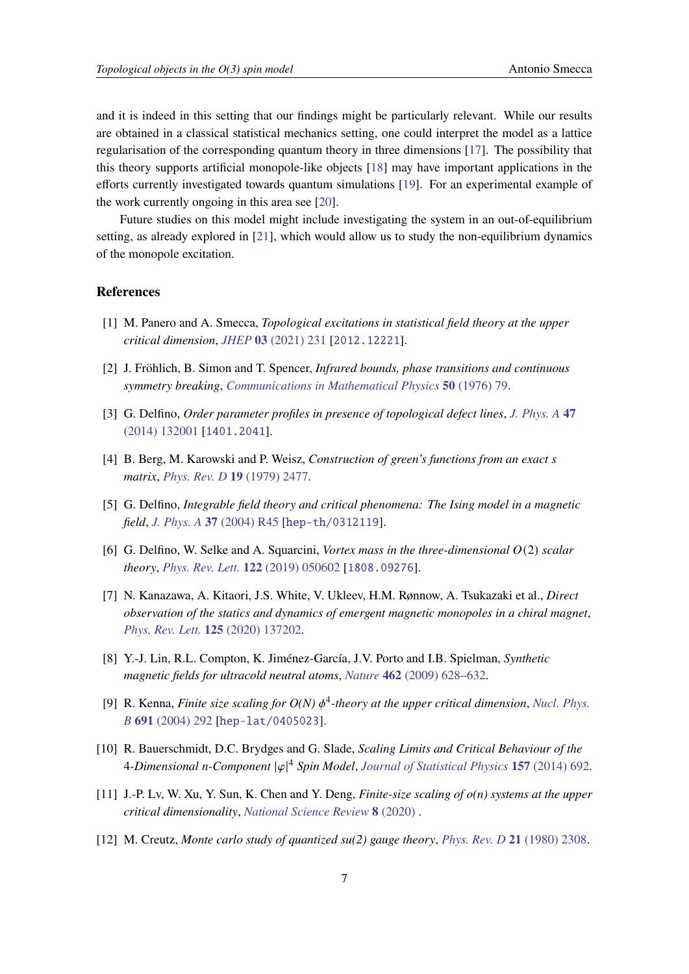and it is indeed in this setting that our findings might be particularly relevant. While our results are obtained in a classical statistical mechanics setting, one could interpret the model as a lattice regularisation of the corresponding quantum theory in three dimensions [\[17\]](#page-7-3). The possibility that this theory supports artificial monopole-like objects [\[18\]](#page-7-4) may have important applications in the efforts currently investigated towards quantum simulations [\[19\]](#page-7-5). For an experimental example of the work currently ongoing in this area see [\[20\]](#page-7-6).

Future studies on this model might include investigating the system in an out-of-equilibrium setting, as already explored in [\[21\]](#page-7-7), which would allow us to study the non-equilibrium dynamics of the monopole excitation.

#### **References**

- <span id="page-6-0"></span>[1] M. Panero and A. Smecca, *Topological excitations in statistical field theory at the upper critical dimension*, *JHEP* **03** [\(2021\) 231](https://doi.org/10.1007/JHEP03(2021)231) [[2012.12221](https://arxiv.org/abs/2012.12221)].
- <span id="page-6-1"></span>[2] J. Fröhlich, B. Simon and T. Spencer, *Infrared bounds, phase transitions and continuous symmetry breaking*, *[Communications in Mathematical Physics](https://doi.org/10.1007/BF01608557)* **50** (1976) 79.
- <span id="page-6-2"></span>[3] G. Delfino, *Order parameter profiles in presence of topological defect lines*, *[J. Phys. A](https://doi.org/10.1088/1751-8113/47/13/132001)* **47** [\(2014\) 132001](https://doi.org/10.1088/1751-8113/47/13/132001) [[1401.2041](https://arxiv.org/abs/1401.2041)].
- <span id="page-6-3"></span>[4] B. Berg, M. Karowski and P. Weisz, *Construction of green's functions from an exact matrix*, *[Phys. Rev. D](https://doi.org/10.1103/PhysRevD.19.2477)* **19** (1979) 2477.
- [5] G. Delfino, *Integrable field theory and critical phenomena: The Ising model in a magnetic field*, *J. Phys. A* **37** [\(2004\) R45](https://doi.org/10.1088/0305-4470/37/14/R01) [[hep-th/0312119](https://arxiv.org/abs/hep-th/0312119)].
- <span id="page-6-4"></span>[6] G. Delfino, W. Selke and A. Squarcini, *Vortex mass in the three-dimensional* (2) *scalar theory*, *[Phys. Rev. Lett.](https://doi.org/10.1103/PhysRevLett.122.050602)* **122** (2019) 050602 [[1808.09276](https://arxiv.org/abs/1808.09276)].
- <span id="page-6-5"></span>[7] N. Kanazawa, A. Kitaori, J.S. White, V. Ukleev, H.M. Rønnow, A. Tsukazaki et al., *Direct observation of the statics and dynamics of emergent magnetic monopoles in a chiral magnet*, *[Phys. Rev. Lett.](https://doi.org/10.1103/PhysRevLett.125.137202)* **125** (2020) 137202.
- <span id="page-6-6"></span>[8] Y.-J. Lin, R.L. Compton, K. Jiménez-García, J.V. Porto and I.B. Spielman, *Synthetic magnetic fields for ultracold neutral atoms*, *Nature* **462** [\(2009\) 628–632.](https://doi.org/10.1038/nature08609)
- <span id="page-6-7"></span>[9] R. Kenna, *Finite size scaling for*  $O(N)$  $\phi^4$ *-theory at the upper critical dimension*, *[Nucl. Phys.](https://doi.org/10.1016/j.nuclphysb.2004.05.012) B* **691** [\(2004\) 292](https://doi.org/10.1016/j.nuclphysb.2004.05.012) [[hep-lat/0405023](https://arxiv.org/abs/hep-lat/0405023)].
- <span id="page-6-8"></span>[10] R. Bauerschmidt, D.C. Brydges and G. Slade, *Scaling Limits and Critical Behaviour of the* **4-Dimensional n-Component**  $|\varphi|^4$  Spin Model, [Journal of Statistical Physics](https://doi.org/10.1007/s10955-014-1060-5) 157 (2014) 692.
- <span id="page-6-9"></span>[11] J.-P. Lv, W. Xu, Y. Sun, K. Chen and Y. Deng, *Finite-size scaling of o(n) systems at the upper critical dimensionality*, *[National Science Review](https://doi.org/10.1093/nsr/nwaa212)* **8** (2020) .
- <span id="page-6-10"></span>[12] M. Creutz, *Monte carlo study of quantized su(2) gauge theory*, *[Phys. Rev. D](https://doi.org/10.1103/PhysRevD.21.2308)* **21** (1980) 2308.